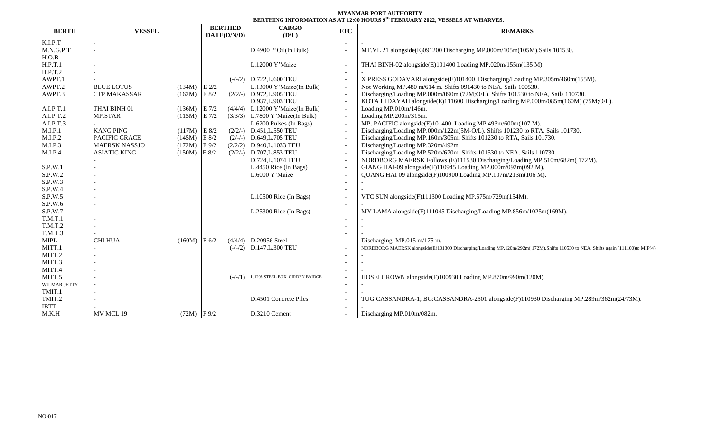## **MYANMAR PORT AUTHORITY BERTHING INFORMATION AS AT 12:00 HOURS 9 th FEBRUARY 2022, VESSELS AT WHARVES.**

| <b>BERTH</b> | <b>VESSEL</b>        |                | <b>BERTHED</b>     | <b>CARGO</b>                       | <b>ETC</b>               | <b>REMARKS</b>                                                                                                                  |  |  |  |  |
|--------------|----------------------|----------------|--------------------|------------------------------------|--------------------------|---------------------------------------------------------------------------------------------------------------------------------|--|--|--|--|
|              |                      |                | DATE(D/N/D)        | (D/L)                              |                          |                                                                                                                                 |  |  |  |  |
| K.I.P.T      |                      |                |                    |                                    |                          |                                                                                                                                 |  |  |  |  |
| M.N.G.P.T    |                      |                |                    | $D.4900$ P'Oil(In Bulk)            |                          | MT.VL 21 alongside(E)091200 Discharging MP.000m/105m(105M).Sails 101530.                                                        |  |  |  |  |
| H.O.B        |                      |                |                    |                                    |                          |                                                                                                                                 |  |  |  |  |
| H.P.T.1      |                      |                |                    | L.12000 Y'Maize                    |                          | THAI BINH-02 alongside(E)101400 Loading MP.020m/155m(135 M).                                                                    |  |  |  |  |
| H.P.T.2      |                      |                |                    |                                    |                          |                                                                                                                                 |  |  |  |  |
| AWPT.1       |                      |                |                    | $(-/-/2)$ D.722, L.600 TEU         |                          | X PRESS GODAVARI alongside(E)101400 Discharging/Loading MP.305m/460m(155M).                                                     |  |  |  |  |
| AWPT.2       | <b>BLUE LOTUS</b>    | $(134M)$ E 2/2 |                    | L.13000 Y'Maize(In Bulk)           | $\overline{\phantom{a}}$ | Not Working MP.480 m/614 m. Shifts 091430 to NEA. Sails 100530.                                                                 |  |  |  |  |
| AWPT.3       | <b>CTP MAKASSAR</b>  | (162M)         | E 8/2<br>$(2/2/-)$ | D.972, L.905 TEU                   | $\sim$                   | Discharging/Loading MP.000m/090m.(72M;O/L). Shifts 101530 to NEA, Sails 110730.                                                 |  |  |  |  |
|              |                      |                |                    | D.937, L.903 TEU                   | $\overline{\phantom{a}}$ | KOTA HIDAYAH alongside(E)111600 Discharging/Loading MP.000m/085m(160M) (75M;O/L).                                               |  |  |  |  |
| A.I.P.T.1    | THAI BINH 01         | $(136M)$ E 7/2 |                    | $(4/4/4)$ L.12000 Y'Maize(In Bulk) | $\sim$                   | Loading MP.010m/146m.                                                                                                           |  |  |  |  |
| A.I.P.T.2    | MP.STAR              | (115M)         | $E$ 7/2            | $(3/3/3)$ L.7800 Y'Maize(In Bulk)  | $\sim$                   | Loading MP.200m/315m.                                                                                                           |  |  |  |  |
| A.I.P.T.3    |                      |                |                    | L.6200 Pulses (In Bags)            | $\overline{a}$           | MP. PACIFIC alongside(E)101400 Loading MP.493m/600m(107 M).                                                                     |  |  |  |  |
| M.I.P.1      | <b>KANG PING</b>     | $(117M)$ E 8/2 | $(2/2/-)$          | D.451, L.550 TEU                   | $\overline{a}$           | Discharging/Loading MP.000m/122m(5M-O/L). Shifts 101230 to RTA. Sails 101730.                                                   |  |  |  |  |
| M.I.P.2      | PACIFIC GRACE        | (145M)         | E 8/2<br>$(2/-/-)$ | D.649, L.705 TEU                   | $\sim$                   | Discharging/Loading MP.160m/305m. Shifts 101230 to RTA, Sails 101730.                                                           |  |  |  |  |
| M.I.P.3      | <b>MAERSK NASSJO</b> | (172M)         | $E\,9/2$           | $(2/2/2)$ D.940, L.1033 TEU        | $\overline{\phantom{a}}$ | Discharging/Loading MP.320m/492m.                                                                                               |  |  |  |  |
| M.I.P.4      | <b>ASIATIC KING</b>  | $(150M)$ E 8/2 |                    | $(2/2/-)$ D.707, L.853 TEU         | $\sim$                   | Discharging/Loading MP.520m/670m. Shifts 101530 to NEA, Sails 110730.                                                           |  |  |  |  |
|              |                      |                |                    | D.724, L.1074 TEU                  | $\overline{\phantom{a}}$ | NORDBORG MAERSK Follows (E)111530 Discharging/Loading MP.510m/682m(172M).                                                       |  |  |  |  |
| S.P.W.1      |                      |                |                    | L.4450 Rice (In Bags)              | $\overline{\phantom{a}}$ | GIANG HAI-09 alongside(F)110945 Loading MP.000m/092m(092 M).                                                                    |  |  |  |  |
| S.P.W.2      |                      |                |                    | L.6000 Y'Maize                     |                          | QUANG HAI 09 alongside(F)100900 Loading MP.107m/213m(106 M).                                                                    |  |  |  |  |
| S.P.W.3      |                      |                |                    |                                    |                          |                                                                                                                                 |  |  |  |  |
| S.P.W.4      |                      |                |                    |                                    |                          |                                                                                                                                 |  |  |  |  |
| S.P.W.5      |                      |                |                    | L.10500 Rice (In Bags)             |                          | VTC SUN alongside(F)111300 Loading MP.575m/729m(154M).                                                                          |  |  |  |  |
| S.P.W.6      |                      |                |                    |                                    |                          |                                                                                                                                 |  |  |  |  |
| S.P.W.7      |                      |                |                    | L.25300 Rice (In Bags)             |                          | MY LAMA alongside(F)111045 Discharging/Loading MP.856m/1025m(169M).                                                             |  |  |  |  |
| T.M.T.1      |                      |                |                    |                                    |                          |                                                                                                                                 |  |  |  |  |
| T.M.T.2      |                      |                |                    |                                    |                          |                                                                                                                                 |  |  |  |  |
| T.M.T.3      |                      |                |                    |                                    |                          |                                                                                                                                 |  |  |  |  |
| <b>MIPL</b>  | <b>CHI HUA</b>       | $(160M)$ E 6/2 |                    | $(4/4/4)$ D.20956 Steel            |                          | Discharging MP.015 m/175 m.                                                                                                     |  |  |  |  |
| MITT.1       |                      |                |                    | $(-/-/2)$ D.147, L.300 TEU         |                          | NORDBORG MAERSK alongside(E)101300 Discharging/Loading MP.120m/292m(172M).Shifts 110530 to NEA, Shifts again (111100)to MIP(4). |  |  |  |  |
| MITT.2       |                      |                |                    |                                    |                          |                                                                                                                                 |  |  |  |  |
| MITT.3       |                      |                |                    |                                    |                          |                                                                                                                                 |  |  |  |  |
| MITT.4       |                      |                |                    |                                    |                          |                                                                                                                                 |  |  |  |  |
| MITT.5       |                      |                | $(-/-/1)$          | L.1298 STEEL BOX GIRDEN BAIDGE     |                          | HOSEI CROWN alongside(F)100930 Loading MP.870m/990m(120M).                                                                      |  |  |  |  |
| WILMAR JETTY |                      |                |                    |                                    |                          |                                                                                                                                 |  |  |  |  |
| TMIT.1       |                      |                |                    |                                    |                          |                                                                                                                                 |  |  |  |  |
| TMIT.2       |                      |                |                    | D.4501 Concrete Piles              |                          | TUG:CASSANDRA-1; BG:CASSANDRA-2501 alongside(F)110930 Discharging MP.289m/362m(24/73M).                                         |  |  |  |  |
| <b>IBTT</b>  |                      |                |                    |                                    |                          |                                                                                                                                 |  |  |  |  |
| M.K.H        | MV MCL 19            | $(72M)$ F 9/2  |                    | D.3210 Cement                      |                          | Discharging MP.010m/082m.                                                                                                       |  |  |  |  |